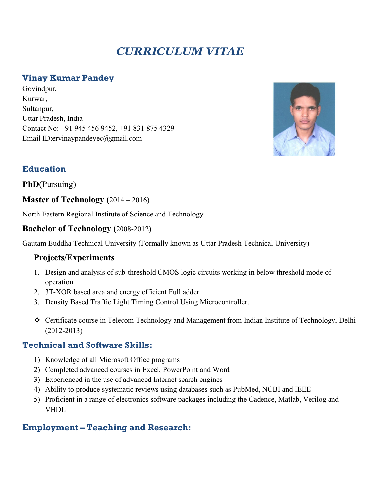# *CURRICULUM VITAE*

# **Vinay Kumar Pandey**

Govindpur, Kurwar, Sultanpur, Uttar Pradesh, India Contact No: +91 945 456 9452, +91 831 875 4329 Email ID:ervinaypandeyec@gmail.com



# **Education**

**PhD**(Pursuing)

**Master of Technology (**2014 – 2016)

North Eastern Regional Institute of Science and Technology

#### **Bachelor of Technology (**2008-2012)

Gautam Buddha Technical University (Formally known as Uttar Pradesh Technical University)

# **Projects/Experiments**

- 1. Design and analysis of sub-threshold CMOS logic circuits working in below threshold mode of operation
- 2. 3T-XOR based area and energy efficient Full adder
- 3. Density Based Traffic Light Timing Control Using Microcontroller.
- ❖ Certificate course in Telecom Technology and Management from Indian Institute of Technology, Delhi (2012-2013)

# **Technical and Software Skills:**

- 1) Knowledge of all Microsoft Office programs
- 2) Completed advanced courses in Excel, PowerPoint and Word
- 3) Experienced in the use of advanced Internet search engines
- 4) Ability to produce systematic reviews using databases such as PubMed, NCBI and IEEE
- 5) Proficient in a range of electronics software packages including the Cadence, Matlab, Verilog and VHDL

# **Employment – Teaching and Research:**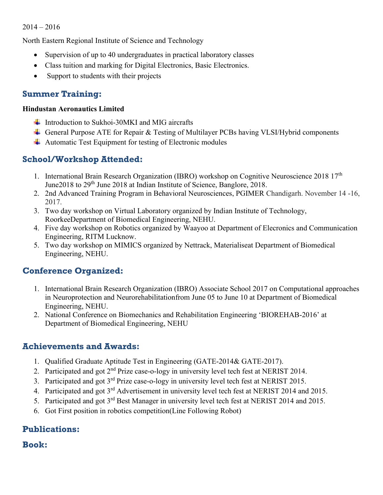#### 2014 – 2016

North Eastern Regional Institute of Science and Technology

- Supervision of up to 40 undergraduates in practical laboratory classes
- Class tuition and marking for Digital Electronics, Basic Electronics.
- Support to students with their projects

## **Summer Training:**

#### **Hindustan Aeronautics Limited**

- Introduction to Sukhoi-30MKI and MIG aircrafts
- General Purpose ATE for Repair & Testing of Multilayer PCBs having VLSI/Hybrid components
- $\overline{\phantom{a}}$  Automatic Test Equipment for testing of Electronic modules

# **School/Workshop Attended:**

- 1. International Brain Research Organization (IBRO) workshop on Cognitive Neuroscience 2018  $17<sup>th</sup>$ June 2018 to 29<sup>th</sup> June 2018 at Indian Institute of Science, Banglore, 2018.
- 2. 2nd Advanced Training Program in Behavioral Neurosciences, PGIMER Chandigarh. November 14 -16, 2017.
- 3. Two day workshop on Virtual Laboratory organized by Indian Institute of Technology, RoorkeeDepartment of Biomedical Engineering, NEHU.
- 4. Five day workshop on Robotics organized by Waayoo at Department of Elecronics and Communication Engineering, RITM Lucknow.
- 5. Two day workshop on MIMICS organized by Nettrack, Materialiseat Department of Biomedical Engineering, NEHU.

# **Conference Organized:**

- 1. International Brain Research Organization (IBRO) Associate School 2017 on Computational approaches in Neuroprotection and Neurorehabilitationfrom June 05 to June 10 at Department of Biomedical Engineering, NEHU.
- 2. National Conference on Biomechanics and Rehabilitation Engineering 'BIOREHAB-2016' at Department of Biomedical Engineering, NEHU

#### **Achievements and Awards:**

- 1. Qualified Graduate Aptitude Test in Engineering (GATE-2014& GATE-2017).
- 2. Participated and got 2<sup>nd</sup> Prize case-o-logy in university level tech fest at NERIST 2014.
- 3. Participated and got 3rd Prize case-o-logy in university level tech fest at NERIST 2015.
- 4. Participated and got 3<sup>rd</sup> Advertisement in university level tech fest at NERIST 2014 and 2015.
- 5. Participated and got 3rd Best Manager in university level tech fest at NERIST 2014 and 2015.
- 6. Got First position in robotics competition(Line Following Robot)

# **Publications:**

# **Book:**